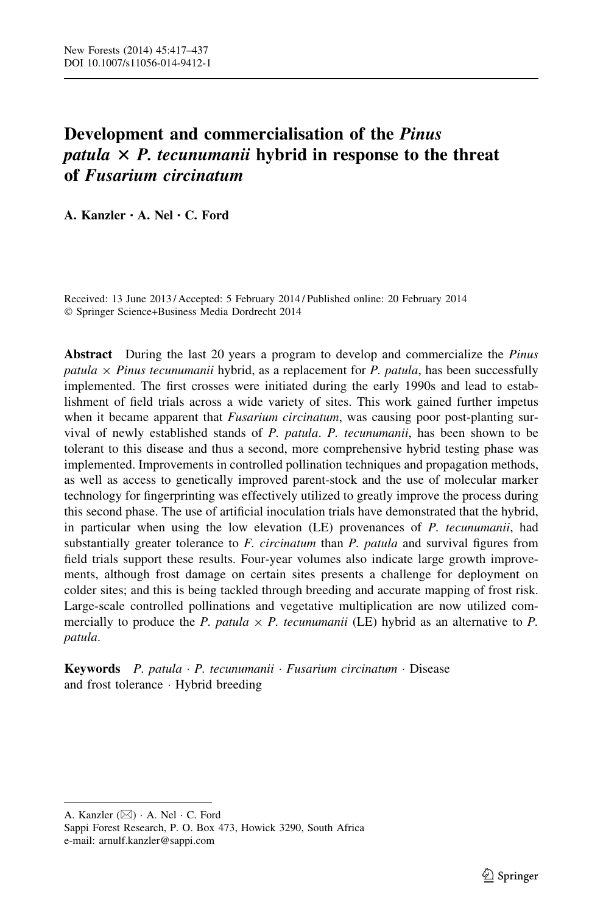# Development and commercialisation of the Pinus patula  $\times$  P. tecunumanii hybrid in response to the threat of Fusarium circinatum

A. Kanzler • A. Nel • C. Ford

Received: 13 June 2013 / Accepted: 5 February 2014 / Published online: 20 February 2014 - Springer Science+Business Media Dordrecht 2014

Abstract During the last 20 years a program to develop and commercialize the Pinus patula  $\times$  Pinus tecunumanii hybrid, as a replacement for P. patula, has been successfully implemented. The first crosses were initiated during the early 1990s and lead to establishment of field trials across a wide variety of sites. This work gained further impetus when it became apparent that Fusarium circinatum, was causing poor post-planting survival of newly established stands of P. patula. P. tecunumanii, has been shown to be tolerant to this disease and thus a second, more comprehensive hybrid testing phase was implemented. Improvements in controlled pollination techniques and propagation methods, as well as access to genetically improved parent-stock and the use of molecular marker technology for fingerprinting was effectively utilized to greatly improve the process during this second phase. The use of artificial inoculation trials have demonstrated that the hybrid, in particular when using the low elevation (LE) provenances of P. tecunumanii, had substantially greater tolerance to  $F$ . *circinatum* than  $P$ . *patula* and survival figures from field trials support these results. Four-year volumes also indicate large growth improvements, although frost damage on certain sites presents a challenge for deployment on colder sites; and this is being tackled through breeding and accurate mapping of frost risk. Large-scale controlled pollinations and vegetative multiplication are now utilized commercially to produce the P. patula  $\times$  P. tecunumanii (LE) hybrid as an alternative to P. patula.

Keywords P. patula · P. tecunumanii · Fusarium circinatum · Disease and frost tolerance - Hybrid breeding

A. Kanzler  $(\boxtimes) \cdot$  A. Nel  $\cdot$  C. Ford

Sappi Forest Research, P. O. Box 473, Howick 3290, South Africa e-mail: arnulf.kanzler@sappi.com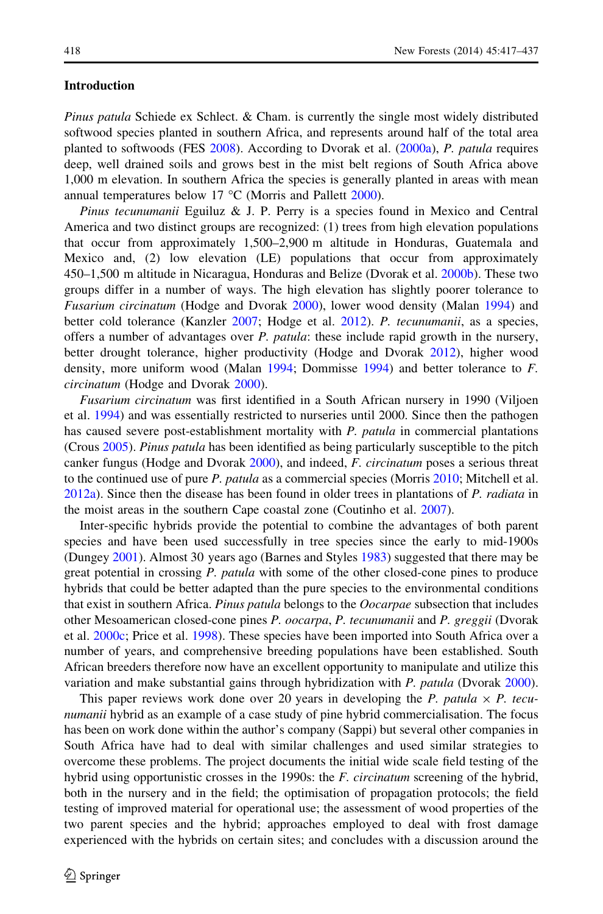#### Introduction

Pinus patula Schiede ex Schlect. & Cham. is currently the single most widely distributed softwood species planted in southern Africa, and represents around half of the total area planted to softwoods (FES [2008\)](#page-19-0). According to Dvorak et al. [\(2000a\)](#page-18-0), P. patula requires deep, well drained soils and grows best in the mist belt regions of South Africa above 1,000 m elevation. In southern Africa the species is generally planted in areas with mean annual temperatures below 17  $^{\circ}$ C (Morris and Pallett [2000\)](#page-19-0).

Pinus tecunumanii Eguiluz & J. P. Perry is a species found in Mexico and Central America and two distinct groups are recognized: (1) trees from high elevation populations that occur from approximately 1,500–2,900 m altitude in Honduras, Guatemala and Mexico and, (2) low elevation (LE) populations that occur from approximately 450–1,500 m altitude in Nicaragua, Honduras and Belize (Dvorak et al. [2000b](#page-19-0)). These two groups differ in a number of ways. The high elevation has slightly poorer tolerance to Fusarium circinatum (Hodge and Dvorak [2000](#page-19-0)), lower wood density (Malan [1994](#page-19-0)) and better cold tolerance (Kanzler [2007](#page-19-0); Hodge et al. [2012](#page-19-0)). P. tecunumanii, as a species, offers a number of advantages over *P. patula*: these include rapid growth in the nursery, better drought tolerance, higher productivity (Hodge and Dvorak [2012\)](#page-19-0), higher wood density, more uniform wood (Malan [1994;](#page-19-0) Dommisse [1994\)](#page-18-0) and better tolerance to F. circinatum (Hodge and Dvorak [2000\)](#page-19-0).

Fusarium circinatum was first identified in a South African nursery in 1990 (Viljoen et al. [1994](#page-20-0)) and was essentially restricted to nurseries until 2000. Since then the pathogen has caused severe post-establishment mortality with P. patula in commercial plantations (Crous [2005\)](#page-18-0). Pinus patula has been identified as being particularly susceptible to the pitch canker fungus (Hodge and Dvorak [2000\)](#page-19-0), and indeed, F. circinatum poses a serious threat to the continued use of pure P. patula as a commercial species (Morris [2010;](#page-19-0) Mitchell et al. [2012a\)](#page-19-0). Since then the disease has been found in older trees in plantations of P. radiata in the moist areas in the southern Cape coastal zone (Coutinho et al. [2007\)](#page-18-0).

Inter-specific hybrids provide the potential to combine the advantages of both parent species and have been used successfully in tree species since the early to mid-1900s (Dungey [2001](#page-18-0)). Almost 30 years ago (Barnes and Styles [1983](#page-18-0)) suggested that there may be great potential in crossing P. patula with some of the other closed-cone pines to produce hybrids that could be better adapted than the pure species to the environmental conditions that exist in southern Africa. Pinus patula belongs to the Oocarpae subsection that includes other Mesoamerican closed-cone pines P. oocarpa, P. tecunumanii and P. greggii (Dvorak et al. [2000c](#page-19-0); Price et al. [1998\)](#page-20-0). These species have been imported into South Africa over a number of years, and comprehensive breeding populations have been established. South African breeders therefore now have an excellent opportunity to manipulate and utilize this variation and make substantial gains through hybridization with P. patula (Dvorak [2000](#page-18-0)).

This paper reviews work done over 20 years in developing the P. patula  $\times$  P. tecunumanii hybrid as an example of a case study of pine hybrid commercialisation. The focus has been on work done within the author's company (Sappi) but several other companies in South Africa have had to deal with similar challenges and used similar strategies to overcome these problems. The project documents the initial wide scale field testing of the hybrid using opportunistic crosses in the 1990s: the *F. circinatum* screening of the hybrid, both in the nursery and in the field; the optimisation of propagation protocols; the field testing of improved material for operational use; the assessment of wood properties of the two parent species and the hybrid; approaches employed to deal with frost damage experienced with the hybrids on certain sites; and concludes with a discussion around the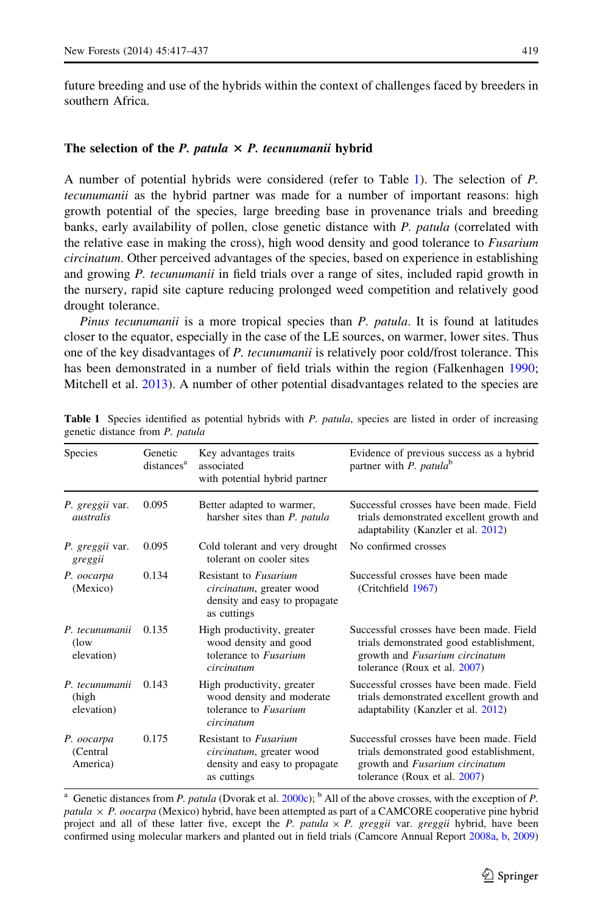future breeding and use of the hybrids within the context of challenges faced by breeders in southern Africa.

# The selection of the P. patula  $\times$  P. tecunumanii hybrid

A number of potential hybrids were considered (refer to Table 1). The selection of P. tecunumanii as the hybrid partner was made for a number of important reasons: high growth potential of the species, large breeding base in provenance trials and breeding banks, early availability of pollen, close genetic distance with P. patula (correlated with the relative ease in making the cross), high wood density and good tolerance to *Fusarium* circinatum. Other perceived advantages of the species, based on experience in establishing and growing P. tecunumanii in field trials over a range of sites, included rapid growth in the nursery, rapid site capture reducing prolonged weed competition and relatively good drought tolerance.

Pinus tecunumanii is a more tropical species than P. patula. It is found at latitudes closer to the equator, especially in the case of the LE sources, on warmer, lower sites. Thus one of the key disadvantages of P. tecunumanii is relatively poor cold/frost tolerance. This has been demonstrated in a number of field trials within the region (Falkenhagen [1990;](#page-19-0) Mitchell et al. [2013\)](#page-19-0). A number of other potential disadvantages related to the species are

| <b>Species</b>                          | Genetic<br>distances <sup>a</sup> | Key advantages traits<br>associated<br>with potential hybrid partner                                     | Evidence of previous success as a hybrid<br>partner with P. patula <sup>b</sup>                                                                       |  |  |
|-----------------------------------------|-----------------------------------|----------------------------------------------------------------------------------------------------------|-------------------------------------------------------------------------------------------------------------------------------------------------------|--|--|
| P. greggii var.<br><i>australis</i>     | 0.095                             | Better adapted to warmer,<br>harsher sites than P. patula                                                | Successful crosses have been made. Field<br>trials demonstrated excellent growth and<br>adaptability (Kanzler et al. 2012)                            |  |  |
| P. greggii var.<br>greggii              | 0.095                             | Cold tolerant and very drought<br>tolerant on cooler sites                                               | No confirmed crosses                                                                                                                                  |  |  |
| P. oocarpa<br>(Mexico)                  | 0.134                             | Resistant to <i>Fusarium</i><br>circinatum, greater wood<br>density and easy to propagate<br>as cuttings | Successful crosses have been made<br>(Critchfield 1967)                                                                                               |  |  |
| P. tecunumanii<br>$($ low<br>elevation) | 0.135                             | High productivity, greater<br>wood density and good<br>tolerance to <i>Fusarium</i><br>circinatum        | Successful crosses have been made. Field<br>trials demonstrated good establishment,<br>growth and Fusarium circinatum<br>tolerance (Roux et al. 2007) |  |  |
| P. tecunumanii<br>(high<br>elevation)   | 0.143                             | High productivity, greater<br>wood density and moderate<br>tolerance to <i>Fusarium</i><br>circinatum    | Successful crosses have been made. Field<br>trials demonstrated excellent growth and<br>adaptability (Kanzler et al. 2012)                            |  |  |
| P. oocarpa<br>(Central)<br>America)     | 0.175                             | Resistant to <i>Fusarium</i><br>circinatum, greater wood<br>density and easy to propagate<br>as cuttings | Successful crosses have been made. Field<br>trials demonstrated good establishment,<br>growth and Fusarium circinatum<br>tolerance (Roux et al. 2007) |  |  |

Table 1 Species identified as potential hybrids with P. patula, species are listed in order of increasing genetic distance from P. patula

<sup>a</sup> Genetic distances from *P. patula* (Dvorak et al. [2000c\)](#page-19-0); <sup>b</sup> All of the above crosses, with the exception of *P*. patula  $\times$  P. oocarpa (Mexico) hybrid, have been attempted as part of a CAMCORE cooperative pine hybrid project and all of these latter five, except the P. patula  $\times$  P. greggii var. greggii hybrid, have been confirmed using molecular markers and planted out in field trials (Camcore Annual Report [2008a](#page-18-0), [b,](#page-18-0) [2009\)](#page-18-0)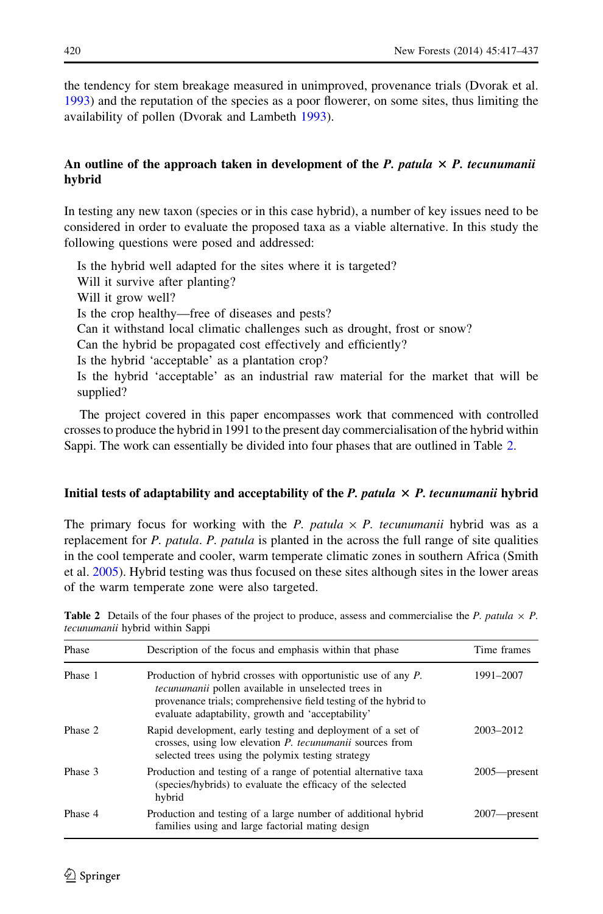<span id="page-3-0"></span>the tendency for stem breakage measured in unimproved, provenance trials (Dvorak et al. [1993\)](#page-18-0) and the reputation of the species as a poor flowerer, on some sites, thus limiting the availability of pollen (Dvorak and Lambeth [1993](#page-18-0)).

# An outline of the approach taken in development of the P. patula  $\times$  P. tecunumanii hybrid

In testing any new taxon (species or in this case hybrid), a number of key issues need to be considered in order to evaluate the proposed taxa as a viable alternative. In this study the following questions were posed and addressed:

Is the hybrid well adapted for the sites where it is targeted? Will it survive after planting? Will it grow well? Is the crop healthy—free of diseases and pests? Can it withstand local climatic challenges such as drought, frost or snow? Can the hybrid be propagated cost effectively and efficiently? Is the hybrid 'acceptable' as a plantation crop? Is the hybrid 'acceptable' as an industrial raw material for the market that will be supplied?

The project covered in this paper encompasses work that commenced with controlled crosses to produce the hybrid in 1991 to the present day commercialisation of the hybrid within Sappi. The work can essentially be divided into four phases that are outlined in Table 2.

# Initial tests of adaptability and acceptability of the  $P$ . patula  $\times$   $P$ . tecunumanii hybrid

The primary focus for working with the P. patula  $\times$  P. tecunumanii hybrid was as a replacement for P. patula. P. patula is planted in the across the full range of site qualities in the cool temperate and cooler, warm temperate climatic zones in southern Africa (Smith et al. [2005\)](#page-20-0). Hybrid testing was thus focused on these sites although sites in the lower areas of the warm temperate zone were also targeted.

**Table 2** Details of the four phases of the project to produce, assess and commercialise the P. patula  $\times$  P. tecunumanii hybrid within Sappi

| Phase   | Description of the focus and emphasis within that phase                                                                                                                                                                                             | Time frames      |  |
|---------|-----------------------------------------------------------------------------------------------------------------------------------------------------------------------------------------------------------------------------------------------------|------------------|--|
| Phase 1 | Production of hybrid crosses with opportunistic use of any P.<br><i>tecunumanii</i> pollen available in unselected trees in<br>provenance trials; comprehensive field testing of the hybrid to<br>evaluate adaptability, growth and 'acceptability' | 1991-2007        |  |
| Phase 2 | Rapid development, early testing and deployment of a set of<br>crosses, using low elevation <i>P. tecunumanii</i> sources from<br>selected trees using the polymix testing strategy                                                                 | 2003-2012        |  |
| Phase 3 | Production and testing of a range of potential alternative taxa<br>(species/hybrids) to evaluate the efficacy of the selected<br>hybrid                                                                                                             | $2005$ - present |  |
| Phase 4 | Production and testing of a large number of additional hybrid<br>families using and large factorial mating design                                                                                                                                   | 2007—present     |  |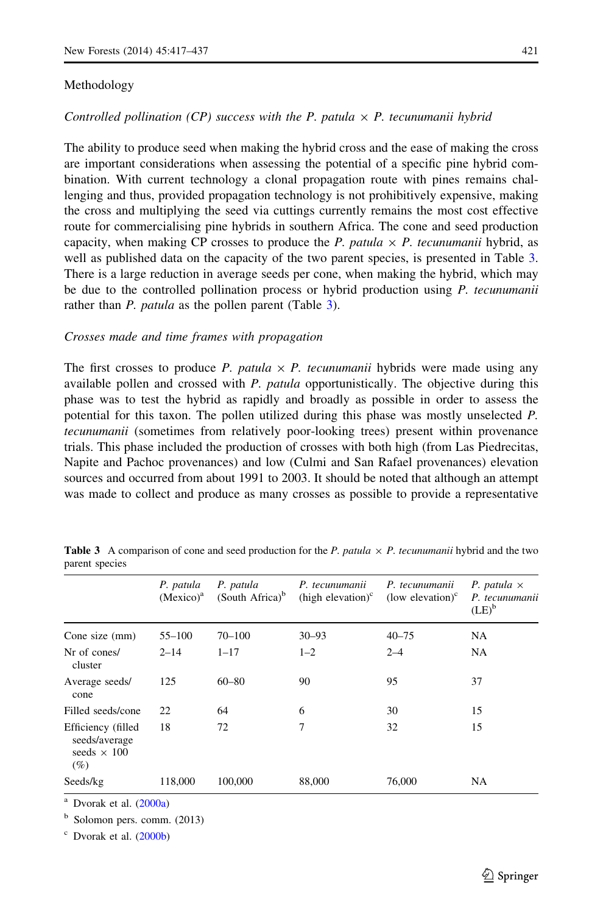#### Methodology

The ability to produce seed when making the hybrid cross and the ease of making the cross are important considerations when assessing the potential of a specific pine hybrid combination. With current technology a clonal propagation route with pines remains challenging and thus, provided propagation technology is not prohibitively expensive, making the cross and multiplying the seed via cuttings currently remains the most cost effective route for commercialising pine hybrids in southern Africa. The cone and seed production capacity, when making CP crosses to produce the P. patula  $\times$  P. tecunumanii hybrid, as well as published data on the capacity of the two parent species, is presented in Table 3. There is a large reduction in average seeds per cone, when making the hybrid, which may be due to the controlled pollination process or hybrid production using  $P$ . tecunumanii rather than *P. patula* as the pollen parent (Table 3).

#### Crosses made and time frames with propagation

The first crosses to produce P. patula  $\times$  P. tecunumanii hybrids were made using any available pollen and crossed with P. patula opportunistically. The objective during this phase was to test the hybrid as rapidly and broadly as possible in order to assess the potential for this taxon. The pollen utilized during this phase was mostly unselected P. tecunumanii (sometimes from relatively poor-looking trees) present within provenance trials. This phase included the production of crosses with both high (from Las Piedrecitas, Napite and Pachoc provenances) and low (Culmi and San Rafael provenances) elevation sources and occurred from about 1991 to 2003. It should be noted that although an attempt was made to collect and produce as many crosses as possible to provide a representative

|                                                                  | P. patula<br>(Mexico) <sup>a</sup> | P. patula<br>(South Africa) <sup>b</sup> | P. tecunumanii<br>(high elevation) $\text{c}$ | P. tecunumanii<br>(low elevation) $\text{c}$ | P. patula $\times$<br>P. tecunumanii<br>$(LE)^b$ |
|------------------------------------------------------------------|------------------------------------|------------------------------------------|-----------------------------------------------|----------------------------------------------|--------------------------------------------------|
| Cone size (mm)                                                   | $55 - 100$                         | $70 - 100$                               | $30 - 93$                                     | $40 - 75$                                    | <b>NA</b>                                        |
| Nr of cones/<br>cluster                                          | $2 - 14$                           | $1 - 17$                                 | $1 - 2$                                       | $2 - 4$                                      | <b>NA</b>                                        |
| Average seeds/<br>cone                                           | 125                                | $60 - 80$                                | 90                                            | 95                                           | 37                                               |
| Filled seeds/cone                                                | 22                                 | 64                                       | 6                                             | 30                                           | 15                                               |
| Efficiency (filled<br>seeds/average<br>seeds $\times$ 100<br>(%) | 18                                 | 72                                       | 7                                             | 32                                           | 15                                               |
| Seeds/kg                                                         | 118,000                            | 100,000                                  | 88,000                                        | 76,000                                       | <b>NA</b>                                        |

**Table 3** A comparison of cone and seed production for the P. patula  $\times$  P. tecunumanii hybrid and the two parent species

<sup>a</sup> Dvorak et al. [\(2000a\)](#page-18-0)

<sup>b</sup> Solomon pers. comm. (2013)

<sup>c</sup> Dvorak et al. [\(2000b](#page-19-0))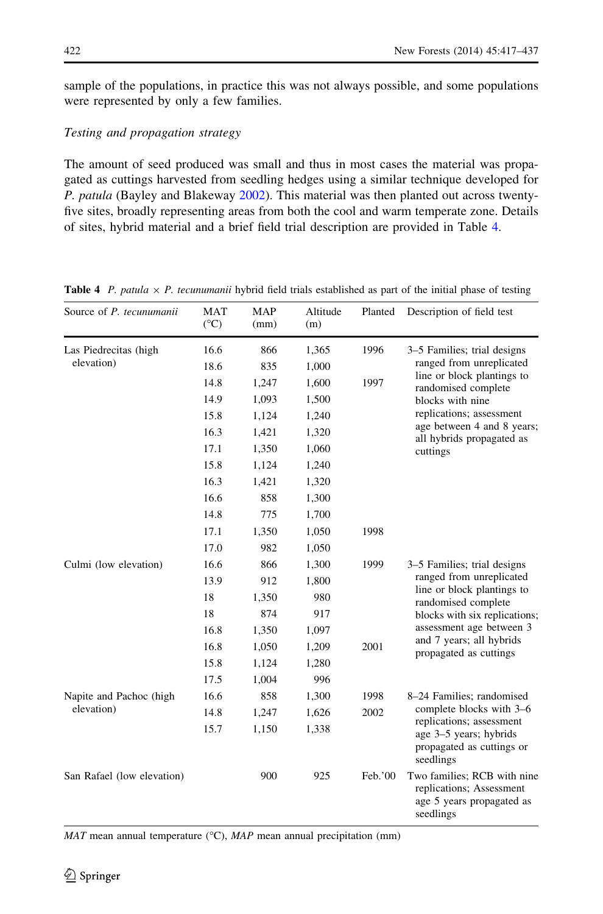<span id="page-5-0"></span>sample of the populations, in practice this was not always possible, and some populations were represented by only a few families.

# Testing and propagation strategy

The amount of seed produced was small and thus in most cases the material was propagated as cuttings harvested from seedling hedges using a similar technique developed for P. patula (Bayley and Blakeway [2002](#page-18-0)). This material was then planted out across twentyfive sites, broadly representing areas from both the cool and warm temperate zone. Details of sites, hybrid material and a brief field trial description are provided in Table 4.

| Source of P. tecunumanii   | <b>MAT</b><br>$(^{\circ}C)$ | <b>MAP</b><br>(mm) | Altitude<br>(m) | Planted | Description of field test                                                                         |  |
|----------------------------|-----------------------------|--------------------|-----------------|---------|---------------------------------------------------------------------------------------------------|--|
| Las Piedrecitas (high      | 16.6                        | 866                | 1,365           | 1996    | 3–5 Families; trial designs                                                                       |  |
| elevation)                 | 18.6                        | 835                | 1,000           |         | ranged from unreplicated<br>line or block plantings to                                            |  |
|                            | 14.8                        | 1,247              | 1,600           | 1997    | randomised complete                                                                               |  |
|                            | 14.9                        | 1,093              | 1,500           |         | blocks with nine                                                                                  |  |
|                            | 15.8                        | 1,124              | 1,240           |         | replications; assessment                                                                          |  |
|                            | 16.3                        | 1,421              | 1,320           |         | age between 4 and 8 years;<br>all hybrids propagated as                                           |  |
|                            | 17.1                        | 1,350              | 1,060           |         | cuttings                                                                                          |  |
|                            | 15.8                        | 1,124              | 1,240           |         |                                                                                                   |  |
|                            | 16.3                        | 1,421              | 1,320           |         |                                                                                                   |  |
|                            | 16.6                        | 858                | 1,300           |         |                                                                                                   |  |
|                            | 14.8                        | 775                | 1,700           |         |                                                                                                   |  |
|                            | 17.1                        | 1,350              | 1,050           | 1998    |                                                                                                   |  |
|                            | 17.0                        | 982                | 1,050           |         |                                                                                                   |  |
| Culmi (low elevation)      | 16.6                        | 866                | 1,300           | 1999    | 3-5 Families; trial designs                                                                       |  |
|                            | 13.9                        | 912                | 1,800           |         | ranged from unreplicated<br>line or block plantings to                                            |  |
|                            | 18                          | 1,350              | 980             |         | randomised complete                                                                               |  |
|                            | 18                          | 874                | 917             |         | blocks with six replications;                                                                     |  |
|                            | 16.8                        | 1,350              | 1,097           |         | assessment age between 3                                                                          |  |
|                            | 16.8                        | 1,050              | 1,209           | 2001    | and 7 years; all hybrids<br>propagated as cuttings                                                |  |
|                            | 15.8                        | 1,124              | 1,280           |         |                                                                                                   |  |
|                            | 17.5                        | 1,004              | 996             |         |                                                                                                   |  |
| Napite and Pachoc (high    | 16.6                        | 858                | 1,300           | 1998    | 8-24 Families; randomised                                                                         |  |
| elevation)                 | 14.8                        | 1,247              | 1,626           | 2002    | complete blocks with 3-6                                                                          |  |
|                            | 15.7                        | 1,150              | 1,338           |         | replications; assessment<br>age 3-5 years; hybrids<br>propagated as cuttings or<br>seedlings      |  |
| San Rafael (low elevation) |                             | 900                | 925             | Feb.'00 | Two families; RCB with nine<br>replications; Assessment<br>age 5 years propagated as<br>seedlings |  |

**Table 4** P. patula  $\times$  P. tecunumanii hybrid field trials established as part of the initial phase of testing

 $MAT$  mean annual temperature (°C),  $MAP$  mean annual precipitation (mm)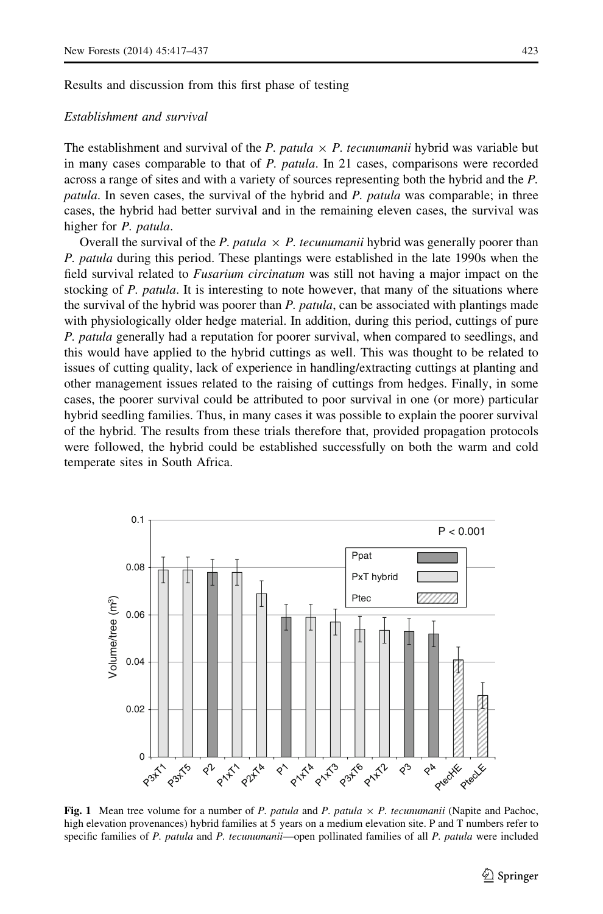<span id="page-6-0"></span>Results and discussion from this first phase of testing

# Establishment and survival

The establishment and survival of the P. patula  $\times$  P. tecunumanii hybrid was variable but in many cases comparable to that of P. patula. In 21 cases, comparisons were recorded across a range of sites and with a variety of sources representing both the hybrid and the P. patula. In seven cases, the survival of the hybrid and P. patula was comparable; in three cases, the hybrid had better survival and in the remaining eleven cases, the survival was higher for P. patula.

Overall the survival of the P. patula  $\times$  P. tecunumanii hybrid was generally poorer than P. patula during this period. These plantings were established in the late 1990s when the field survival related to *Fusarium circinatum* was still not having a major impact on the stocking of P. patula. It is interesting to note however, that many of the situations where the survival of the hybrid was poorer than P. patula, can be associated with plantings made with physiologically older hedge material. In addition, during this period, cuttings of pure P. patula generally had a reputation for poorer survival, when compared to seedlings, and this would have applied to the hybrid cuttings as well. This was thought to be related to issues of cutting quality, lack of experience in handling/extracting cuttings at planting and other management issues related to the raising of cuttings from hedges. Finally, in some cases, the poorer survival could be attributed to poor survival in one (or more) particular hybrid seedling families. Thus, in many cases it was possible to explain the poorer survival of the hybrid. The results from these trials therefore that, provided propagation protocols were followed, the hybrid could be established successfully on both the warm and cold temperate sites in South Africa.



Fig. 1 Mean tree volume for a number of P. patula and P. patula  $\times$  P. tecunumanii (Napite and Pachoc, high elevation provenances) hybrid families at 5 years on a medium elevation site. P and T numbers refer to specific families of P. patula and P. tecunumanii—open pollinated families of all P. patula were included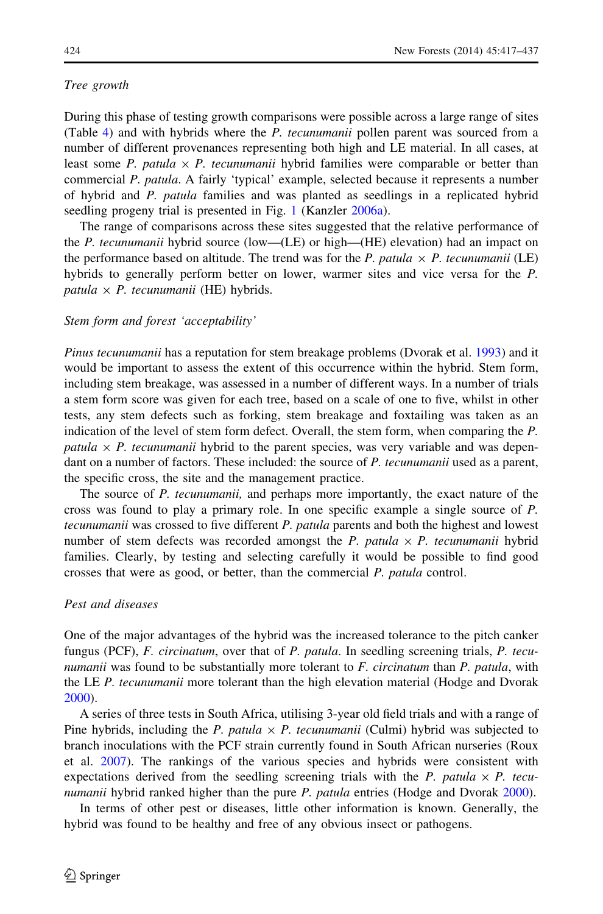### Tree growth

During this phase of testing growth comparisons were possible across a large range of sites (Table [4](#page-5-0)) and with hybrids where the P. tecunumanii pollen parent was sourced from a number of different provenances representing both high and LE material. In all cases, at least some P. patula  $\times$  P. tecunumanii hybrid families were comparable or better than commercial P. patula. A fairly 'typical' example, selected because it represents a number of hybrid and P. patula families and was planted as seedlings in a replicated hybrid seedling progeny trial is presented in Fig. [1](#page-6-0) (Kanzler [2006a](#page-19-0)).

The range of comparisons across these sites suggested that the relative performance of the P. tecunumanii hybrid source (low—(LE) or high—(HE) elevation) had an impact on the performance based on altitude. The trend was for the P. patula  $\times$  P. tecunumanii (LE) hybrids to generally perform better on lower, warmer sites and vice versa for the P. patula  $\times$  P. tecunumanii (HE) hybrids.

# Stem form and forest 'acceptability'

Pinus tecunumanii has a reputation for stem breakage problems (Dvorak et al. [1993](#page-18-0)) and it would be important to assess the extent of this occurrence within the hybrid. Stem form, including stem breakage, was assessed in a number of different ways. In a number of trials a stem form score was given for each tree, based on a scale of one to five, whilst in other tests, any stem defects such as forking, stem breakage and foxtailing was taken as an indication of the level of stem form defect. Overall, the stem form, when comparing the P. patula  $\times$  P. tecunumanii hybrid to the parent species, was very variable and was dependant on a number of factors. These included: the source of P. tecunumanii used as a parent, the specific cross, the site and the management practice.

The source of P. tecunumanii, and perhaps more importantly, the exact nature of the cross was found to play a primary role. In one specific example a single source of P. tecunumanii was crossed to five different P. patula parents and both the highest and lowest number of stem defects was recorded amongst the P. patula  $\times$  P. tecunumanii hybrid families. Clearly, by testing and selecting carefully it would be possible to find good crosses that were as good, or better, than the commercial P. patula control.

# Pest and diseases

One of the major advantages of the hybrid was the increased tolerance to the pitch canker fungus (PCF), F. circinatum, over that of P. patula. In seedling screening trials, P. tecunumanii was found to be substantially more tolerant to F. circinatum than P. patula, with the LE P. tecunumanii more tolerant than the high elevation material (Hodge and Dvorak [2000\)](#page-19-0).

A series of three tests in South Africa, utilising 3-year old field trials and with a range of Pine hybrids, including the P. patula  $\times$  P. tecunumanii (Culmi) hybrid was subjected to branch inoculations with the PCF strain currently found in South African nurseries (Roux et al. [2007](#page-20-0)). The rankings of the various species and hybrids were consistent with expectations derived from the seedling screening trials with the P. patula  $\times$  P. tecu-numanii hybrid ranked higher than the pure P. patula entries (Hodge and Dvorak [2000\)](#page-19-0).

In terms of other pest or diseases, little other information is known. Generally, the hybrid was found to be healthy and free of any obvious insect or pathogens.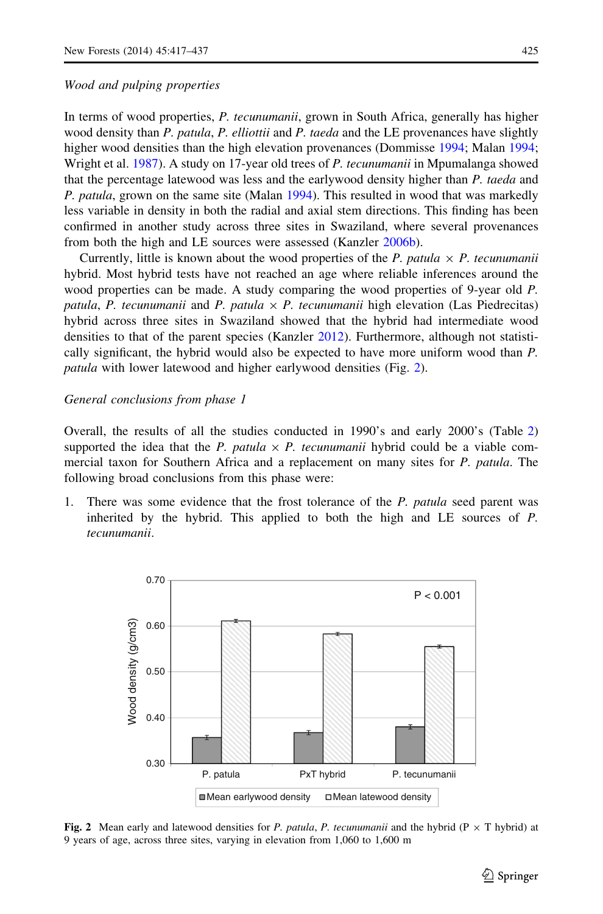#### Wood and pulping properties

In terms of wood properties, P. tecunumanii, grown in South Africa, generally has higher wood density than P. patula, P. elliottii and P. taeda and the LE provenances have slightly higher wood densities than the high elevation provenances (Dommisse [1994;](#page-18-0) Malan [1994;](#page-19-0) Wright et al. [1987](#page-20-0)). A study on 17-year old trees of P. tecunumanii in Mpumalanga showed that the percentage latewood was less and the earlywood density higher than P. taeda and P. patula, grown on the same site (Malan [1994\)](#page-19-0). This resulted in wood that was markedly less variable in density in both the radial and axial stem directions. This finding has been confirmed in another study across three sites in Swaziland, where several provenances from both the high and LE sources were assessed (Kanzler [2006b](#page-19-0)).

Currently, little is known about the wood properties of the P. patula  $\times$  P. tecunumanii hybrid. Most hybrid tests have not reached an age where reliable inferences around the wood properties can be made. A study comparing the wood properties of 9-year old P. patula, P. tecunumanii and P. patula  $\times$  P. tecunumanii high elevation (Las Piedrecitas) hybrid across three sites in Swaziland showed that the hybrid had intermediate wood densities to that of the parent species (Kanzler [2012\)](#page-19-0). Furthermore, although not statistically significant, the hybrid would also be expected to have more uniform wood than P. patula with lower latewood and higher earlywood densities (Fig. 2).

# General conclusions from phase 1

Overall, the results of all the studies conducted in 1990's and early 2000's (Table [2](#page-3-0)) supported the idea that the P. patula  $\times$  P. tecunumanii hybrid could be a viable commercial taxon for Southern Africa and a replacement on many sites for P. patula. The following broad conclusions from this phase were:

1. There was some evidence that the frost tolerance of the P. patula seed parent was inherited by the hybrid. This applied to both the high and LE sources of P. tecunumanii.



Fig. 2 Mean early and latewood densities for P. patula, P. tecunumanii and the hybrid (P  $\times$  T hybrid) at 9 years of age, across three sites, varying in elevation from 1,060 to 1,600 m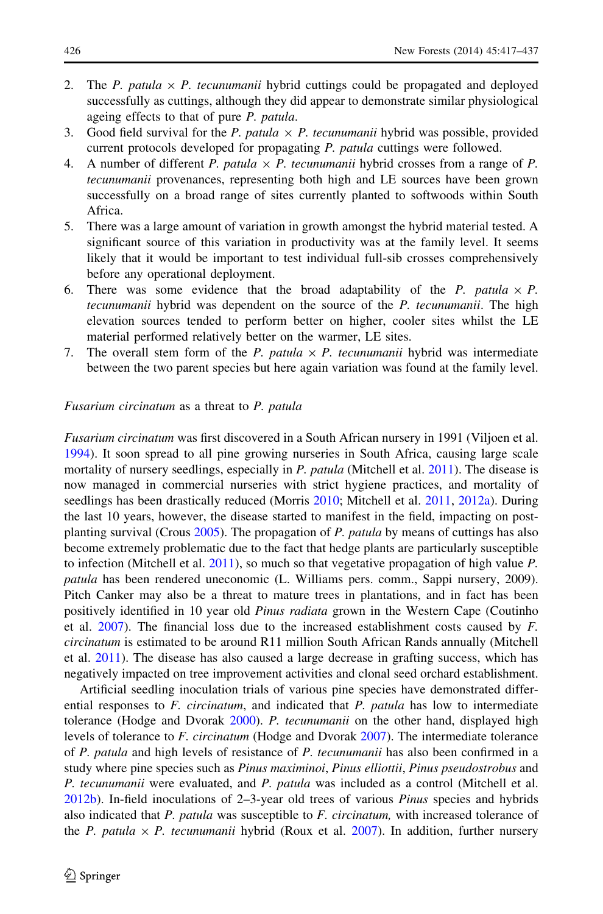- 2. The P. patula  $\times$  P. tecunumanii hybrid cuttings could be propagated and deployed successfully as cuttings, although they did appear to demonstrate similar physiological ageing effects to that of pure P. patula.
- 3. Good field survival for the P. patula  $\times$  P. tecunumanii hybrid was possible, provided current protocols developed for propagating P. patula cuttings were followed.
- 4. A number of different P. patula  $\times$  P. tecunumanii hybrid crosses from a range of P. tecunumanii provenances, representing both high and LE sources have been grown successfully on a broad range of sites currently planted to softwoods within South Africa.
- 5. There was a large amount of variation in growth amongst the hybrid material tested. A significant source of this variation in productivity was at the family level. It seems likely that it would be important to test individual full-sib crosses comprehensively before any operational deployment.
- 6. There was some evidence that the broad adaptability of the P. patula  $\times$  P. tecunumanii hybrid was dependent on the source of the P. tecunumanii. The high elevation sources tended to perform better on higher, cooler sites whilst the LE material performed relatively better on the warmer, LE sites.
- 7. The overall stem form of the P. patula  $\times$  P. tecunumanii hybrid was intermediate between the two parent species but here again variation was found at the family level.

#### Fusarium circinatum as a threat to P. patula

Fusarium circinatum was first discovered in a South African nursery in 1991 (Viljoen et al. [1994\)](#page-20-0). It soon spread to all pine growing nurseries in South Africa, causing large scale mortality of nursery seedlings, especially in P. patula (Mitchell et al. [2011](#page-19-0)). The disease is now managed in commercial nurseries with strict hygiene practices, and mortality of seedlings has been drastically reduced (Morris [2010](#page-19-0); Mitchell et al. [2011,](#page-19-0) [2012a](#page-19-0)). During the last 10 years, however, the disease started to manifest in the field, impacting on postplanting survival (Crous [2005](#page-18-0)). The propagation of P. patula by means of cuttings has also become extremely problematic due to the fact that hedge plants are particularly susceptible to infection (Mitchell et al.  $2011$ ), so much so that vegetative propagation of high value  $P$ . patula has been rendered uneconomic (L. Williams pers. comm., Sappi nursery, 2009). Pitch Canker may also be a threat to mature trees in plantations, and in fact has been positively identified in 10 year old *Pinus radiata* grown in the Western Cape (Coutinho et al.  $2007$ ). The financial loss due to the increased establishment costs caused by  $F$ . circinatum is estimated to be around R11 million South African Rands annually (Mitchell et al. [2011](#page-19-0)). The disease has also caused a large decrease in grafting success, which has negatively impacted on tree improvement activities and clonal seed orchard establishment.

Artificial seedling inoculation trials of various pine species have demonstrated differential responses to  $F$ . *circinatum*, and indicated that  $P$ .  $p$ *atula* has low to intermediate tolerance (Hodge and Dvorak [2000](#page-19-0)). P. tecunumanii on the other hand, displayed high levels of tolerance to F. circinatum (Hodge and Dvorak [2007\)](#page-19-0). The intermediate tolerance of P. patula and high levels of resistance of P. tecunumanii has also been confirmed in a study where pine species such as Pinus maximinoi, Pinus elliottii, Pinus pseudostrobus and P. tecunumanii were evaluated, and P. patula was included as a control (Mitchell et al. [2012b](#page-19-0)). In-field inoculations of 2–3-year old trees of various Pinus species and hybrids also indicated that  $P$ . patula was susceptible to  $F$ . circinatum, with increased tolerance of the P. patula  $\times$  P. tecunumanii hybrid (Roux et al. [2007](#page-20-0)). In addition, further nursery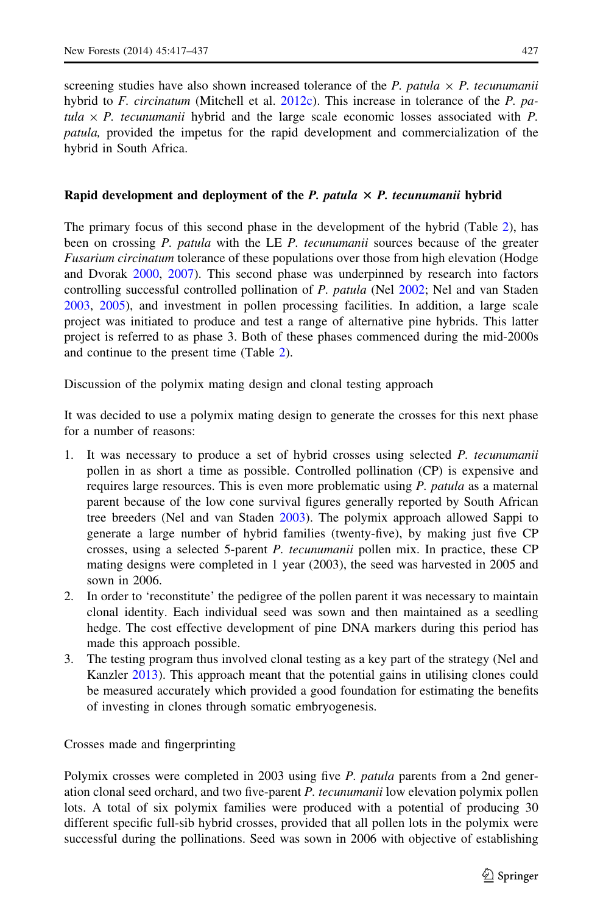screening studies have also shown increased tolerance of the P. patula  $\times$  P. tecunumanii hybrid to F. circinatum (Mitchell et al.  $2012c$ ). This increase in tolerance of the P. patula  $\times$  P. tecunumanii hybrid and the large scale economic losses associated with P. patula, provided the impetus for the rapid development and commercialization of the hybrid in South Africa.

# Rapid development and deployment of the  $P$ . patula  $\times$   $P$ . tecunumanii hybrid

The primary focus of this second phase in the development of the hybrid (Table [2](#page-3-0)), has been on crossing P. patula with the LE P. tecunumanii sources because of the greater Fusarium circinatum tolerance of these populations over those from high elevation (Hodge and Dvorak [2000,](#page-19-0) [2007](#page-19-0)). This second phase was underpinned by research into factors controlling successful controlled pollination of P. patula (Nel [2002;](#page-19-0) Nel and van Staden [2003,](#page-20-0) [2005\)](#page-20-0), and investment in pollen processing facilities. In addition, a large scale project was initiated to produce and test a range of alternative pine hybrids. This latter project is referred to as phase 3. Both of these phases commenced during the mid-2000s and continue to the present time (Table [2](#page-3-0)).

Discussion of the polymix mating design and clonal testing approach

It was decided to use a polymix mating design to generate the crosses for this next phase for a number of reasons:

- 1. It was necessary to produce a set of hybrid crosses using selected P. tecunumanii pollen in as short a time as possible. Controlled pollination (CP) is expensive and requires large resources. This is even more problematic using P. patula as a maternal parent because of the low cone survival figures generally reported by South African tree breeders (Nel and van Staden [2003\)](#page-20-0). The polymix approach allowed Sappi to generate a large number of hybrid families (twenty-five), by making just five CP crosses, using a selected 5-parent P. tecunumanii pollen mix. In practice, these CP mating designs were completed in 1 year (2003), the seed was harvested in 2005 and sown in 2006.
- 2. In order to 'reconstitute' the pedigree of the pollen parent it was necessary to maintain clonal identity. Each individual seed was sown and then maintained as a seedling hedge. The cost effective development of pine DNA markers during this period has made this approach possible.
- 3. The testing program thus involved clonal testing as a key part of the strategy (Nel and Kanzler [2013](#page-19-0)). This approach meant that the potential gains in utilising clones could be measured accurately which provided a good foundation for estimating the benefits of investing in clones through somatic embryogenesis.

Crosses made and fingerprinting

Polymix crosses were completed in 2003 using five *P. patula* parents from a 2nd generation clonal seed orchard, and two five-parent P. tecunumanii low elevation polymix pollen lots. A total of six polymix families were produced with a potential of producing 30 different specific full-sib hybrid crosses, provided that all pollen lots in the polymix were successful during the pollinations. Seed was sown in 2006 with objective of establishing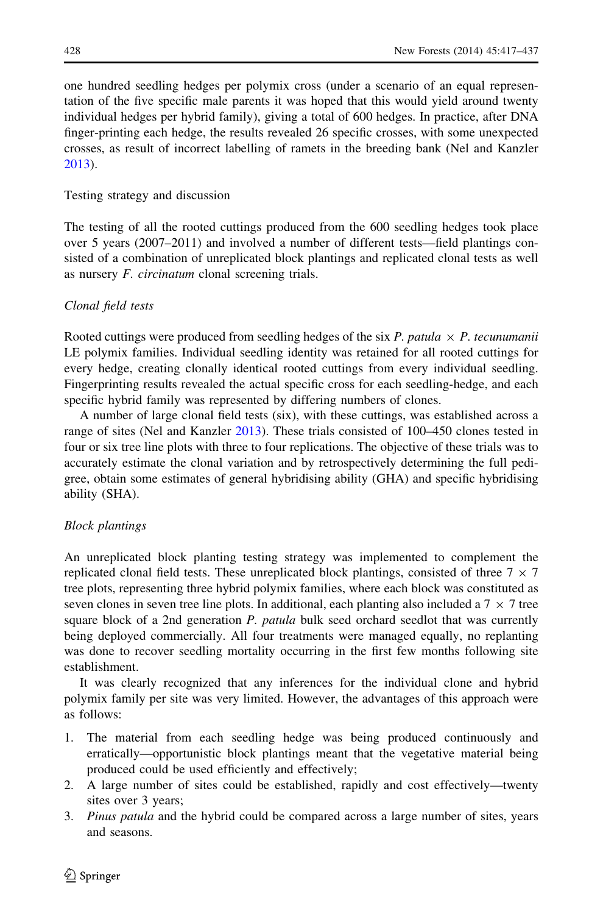one hundred seedling hedges per polymix cross (under a scenario of an equal representation of the five specific male parents it was hoped that this would yield around twenty individual hedges per hybrid family), giving a total of 600 hedges. In practice, after DNA finger-printing each hedge, the results revealed 26 specific crosses, with some unexpected crosses, as result of incorrect labelling of ramets in the breeding bank (Nel and Kanzler [2013\)](#page-19-0).

# Testing strategy and discussion

The testing of all the rooted cuttings produced from the 600 seedling hedges took place over 5 years (2007–2011) and involved a number of different tests—field plantings consisted of a combination of unreplicated block plantings and replicated clonal tests as well as nursery F. circinatum clonal screening trials.

# Clonal field tests

Rooted cuttings were produced from seedling hedges of the six P. patula  $\times$  P. tecunumanii LE polymix families. Individual seedling identity was retained for all rooted cuttings for every hedge, creating clonally identical rooted cuttings from every individual seedling. Fingerprinting results revealed the actual specific cross for each seedling-hedge, and each specific hybrid family was represented by differing numbers of clones.

A number of large clonal field tests (six), with these cuttings, was established across a range of sites (Nel and Kanzler [2013\)](#page-19-0). These trials consisted of 100–450 clones tested in four or six tree line plots with three to four replications. The objective of these trials was to accurately estimate the clonal variation and by retrospectively determining the full pedigree, obtain some estimates of general hybridising ability (GHA) and specific hybridising ability (SHA).

# Block plantings

An unreplicated block planting testing strategy was implemented to complement the replicated clonal field tests. These unreplicated block plantings, consisted of three  $7 \times 7$ tree plots, representing three hybrid polymix families, where each block was constituted as seven clones in seven tree line plots. In additional, each planting also included a  $7 \times 7$  tree square block of a 2nd generation P. patula bulk seed orchard seedlot that was currently being deployed commercially. All four treatments were managed equally, no replanting was done to recover seedling mortality occurring in the first few months following site establishment.

It was clearly recognized that any inferences for the individual clone and hybrid polymix family per site was very limited. However, the advantages of this approach were as follows:

- 1. The material from each seedling hedge was being produced continuously and erratically—opportunistic block plantings meant that the vegetative material being produced could be used efficiently and effectively;
- 2. A large number of sites could be established, rapidly and cost effectively—twenty sites over 3 years;
- 3. Pinus patula and the hybrid could be compared across a large number of sites, years and seasons.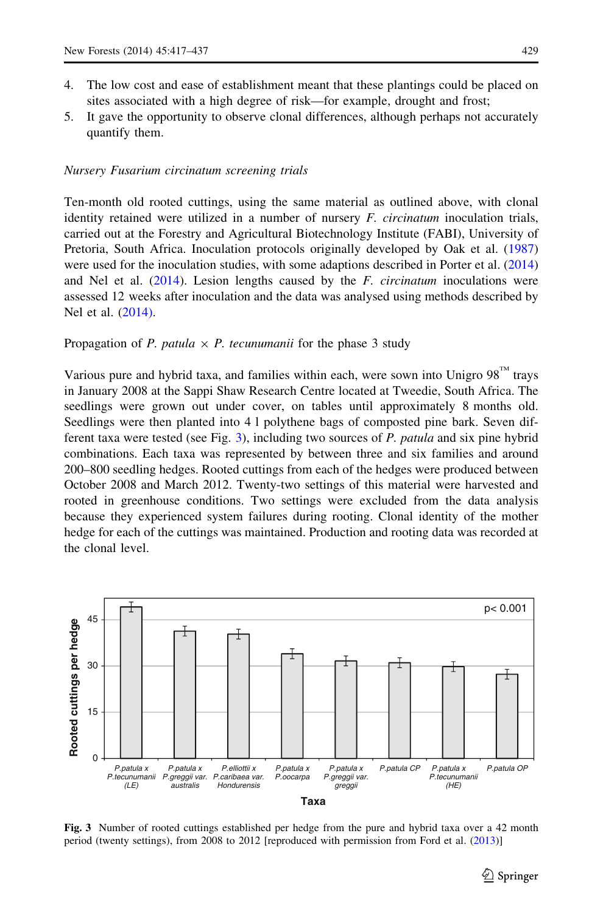- <span id="page-12-0"></span>4. The low cost and ease of establishment meant that these plantings could be placed on sites associated with a high degree of risk—for example, drought and frost;
- 5. It gave the opportunity to observe clonal differences, although perhaps not accurately quantify them.

#### Nursery Fusarium circinatum screening trials

Ten-month old rooted cuttings, using the same material as outlined above, with clonal identity retained were utilized in a number of nursery *F. circinatum* inoculation trials, carried out at the Forestry and Agricultural Biotechnology Institute (FABI), University of Pretoria, South Africa. Inoculation protocols originally developed by Oak et al. ([1987](#page-20-0)) were used for the inoculation studies, with some adaptions described in Porter et al. ([2014](#page-20-0)) and Nel et al.  $(2014)$  $(2014)$ . Lesion lengths caused by the *F. circinatum* inoculations were assessed 12 weeks after inoculation and the data was analysed using methods described by Nel et al. [\(2014\)](#page-20-0).

### Propagation of P. patula  $\times$  P. tecunumanii for the phase 3 study

Various pure and hybrid taxa, and families within each, were sown into Unigro  $98^{\text{m}}$  trays in January 2008 at the Sappi Shaw Research Centre located at Tweedie, South Africa. The seedlings were grown out under cover, on tables until approximately 8 months old. Seedlings were then planted into 4 l polythene bags of composted pine bark. Seven different taxa were tested (see Fig. 3), including two sources of P. patula and six pine hybrid combinations. Each taxa was represented by between three and six families and around 200–800 seedling hedges. Rooted cuttings from each of the hedges were produced between October 2008 and March 2012. Twenty-two settings of this material were harvested and rooted in greenhouse conditions. Two settings were excluded from the data analysis because they experienced system failures during rooting. Clonal identity of the mother hedge for each of the cuttings was maintained. Production and rooting data was recorded at the clonal level.



Fig. 3 Number of rooted cuttings established per hedge from the pure and hybrid taxa over a 42 month period (twenty settings), from 2008 to 2012 [reproduced with permission from Ford et al. [\(2013](#page-19-0))]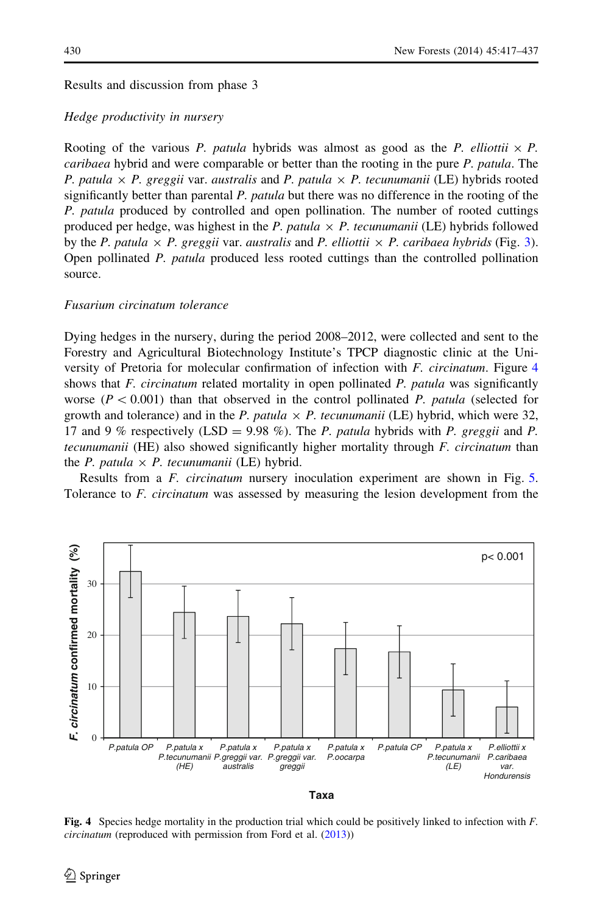Results and discussion from phase 3

### Hedge productivity in nursery

Rooting of the various P. patula hybrids was almost as good as the P. elliottii  $\times$  P. caribaea hybrid and were comparable or better than the rooting in the pure P. patula. The P. patula  $\times$  P. greggii var. australis and P. patula  $\times$  P. tecunumanii (LE) hybrids rooted significantly better than parental P. patula but there was no difference in the rooting of the P. patula produced by controlled and open pollination. The number of rooted cuttings produced per hedge, was highest in the P. patula  $\times$  P. tecunumanii (LE) hybrids followed by the P. patula  $\times$  P. greggii var. australis and P. elliottii  $\times$  P. caribaea hybrids (Fig. [3](#page-12-0)). Open pollinated P. patula produced less rooted cuttings than the controlled pollination source.

# Fusarium circinatum tolerance

Dying hedges in the nursery, during the period 2008–2012, were collected and sent to the Forestry and Agricultural Biotechnology Institute's TPCP diagnostic clinic at the University of Pretoria for molecular confirmation of infection with F. circinatum. Figure 4 shows that F. circinatum related mortality in open pollinated P. patula was significantly worse  $(P<0.001)$  than that observed in the control pollinated P. patula (selected for growth and tolerance) and in the P. patula  $\times$  P. tecunumanii (LE) hybrid, which were 32, 17 and 9 % respectively (LSD = 9.98 %). The P. patula hybrids with P. greggii and P. tecunumanii (HE) also showed significantly higher mortality through F. circinatum than the *P. patula*  $\times$  *P. tecunumanii* (LE) hybrid.

Results from a F. circinatum nursery inoculation experiment are shown in Fig. [5](#page-14-0). Tolerance to F. circinatum was assessed by measuring the lesion development from the



**Taxa**

Fig. 4 Species hedge mortality in the production trial which could be positively linked to infection with  $F$ . circinatum (reproduced with permission from Ford et al. ([2013\)](#page-19-0))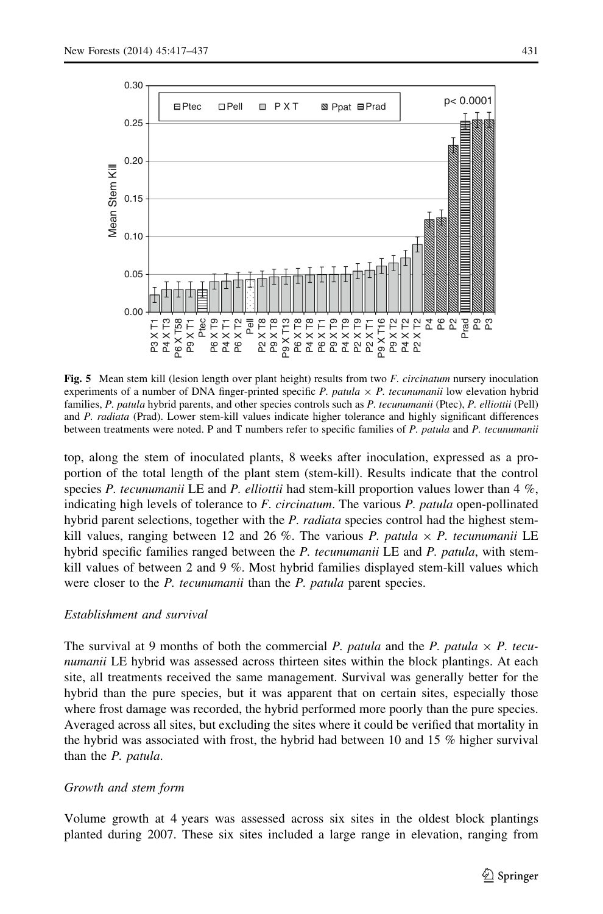<span id="page-14-0"></span>

Fig. 5 Mean stem kill (lesion length over plant height) results from two F. circinatum nursery inoculation experiments of a number of DNA finger-printed specific P. patula  $\times$  P. tecunumanii low elevation hybrid families, P. patula hybrid parents, and other species controls such as P. tecunumanii (Ptec), P. elliottii (Pell) and P. radiata (Prad). Lower stem-kill values indicate higher tolerance and highly significant differences between treatments were noted. P and T numbers refer to specific families of P. patula and P. tecunumanii

top, along the stem of inoculated plants, 8 weeks after inoculation, expressed as a proportion of the total length of the plant stem (stem-kill). Results indicate that the control species P. tecunumanii LE and P. elliottii had stem-kill proportion values lower than  $4\%$ , indicating high levels of tolerance to  $F$ . circinatum. The various  $P$ . patula open-pollinated hybrid parent selections, together with the  $P$ . *radiata* species control had the highest stemkill values, ranging between 12 and 26 %. The various P. patula  $\times$  P. tecunumanii LE hybrid specific families ranged between the P. tecunumanii LE and P. patula, with stemkill values of between 2 and 9 %. Most hybrid families displayed stem-kill values which were closer to the *P. tecunumanii* than the *P. patula* parent species.

#### Establishment and survival

The survival at 9 months of both the commercial P. patula and the P. patula  $\times$  P. tecunumanii LE hybrid was assessed across thirteen sites within the block plantings. At each site, all treatments received the same management. Survival was generally better for the hybrid than the pure species, but it was apparent that on certain sites, especially those where frost damage was recorded, the hybrid performed more poorly than the pure species. Averaged across all sites, but excluding the sites where it could be verified that mortality in the hybrid was associated with frost, the hybrid had between 10 and 15 % higher survival than the P. patula.

#### Growth and stem form

Volume growth at 4 years was assessed across six sites in the oldest block plantings planted during 2007. These six sites included a large range in elevation, ranging from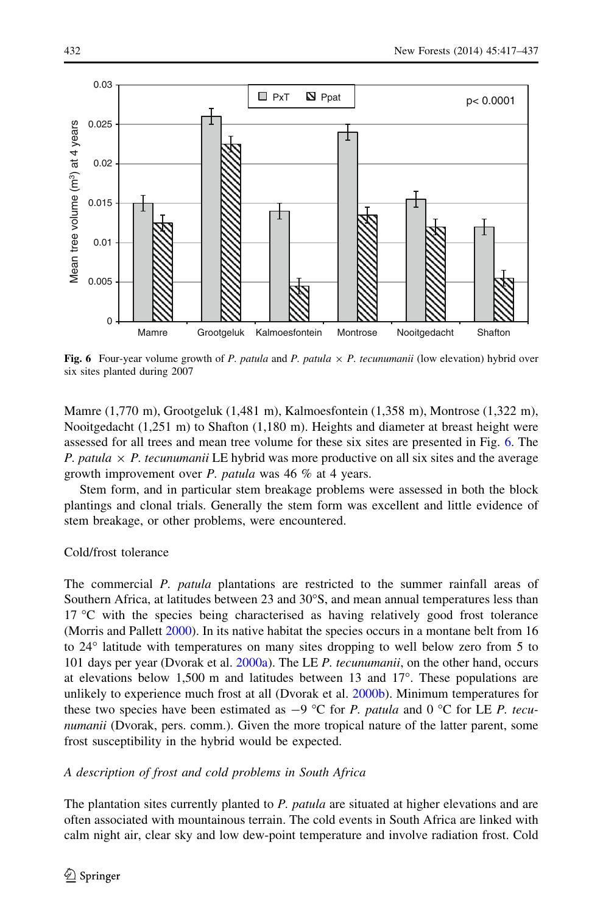

Fig. 6 Four-year volume growth of P. patula and P. patula  $\times$  P. tecunumanii (low elevation) hybrid over six sites planted during 2007

Mamre (1,770 m), Grootgeluk (1,481 m), Kalmoesfontein (1,358 m), Montrose (1,322 m), Nooitgedacht (1,251 m) to Shafton (1,180 m). Heights and diameter at breast height were assessed for all trees and mean tree volume for these six sites are presented in Fig. 6. The P. patula  $\times$  P. tecunumanii LE hybrid was more productive on all six sites and the average growth improvement over P. patula was 46  $%$  at 4 years.

Stem form, and in particular stem breakage problems were assessed in both the block plantings and clonal trials. Generally the stem form was excellent and little evidence of stem breakage, or other problems, were encountered.

# Cold/frost tolerance

The commercial P. patula plantations are restricted to the summer rainfall areas of Southern Africa, at latitudes between 23 and  $30^{\circ}$ S, and mean annual temperatures less than 17  $\degree$ C with the species being characterised as having relatively good frost tolerance (Morris and Pallett [2000\)](#page-19-0). In its native habitat the species occurs in a montane belt from 16 to 24<sup>°</sup> latitude with temperatures on many sites dropping to well below zero from 5 to 101 days per year (Dvorak et al. [2000a](#page-18-0)). The LE P. tecunumanii, on the other hand, occurs at elevations below 1,500 m and latitudes between 13 and  $17^{\circ}$ . These populations are unlikely to experience much frost at all (Dvorak et al. [2000b\)](#page-19-0). Minimum temperatures for these two species have been estimated as  $-9$  °C for P. patula and 0 °C for LE P. tecunumanii (Dvorak, pers. comm.). Given the more tropical nature of the latter parent, some frost susceptibility in the hybrid would be expected.

A description of frost and cold problems in South Africa

The plantation sites currently planted to P. patula are situated at higher elevations and are often associated with mountainous terrain. The cold events in South Africa are linked with calm night air, clear sky and low dew-point temperature and involve radiation frost. Cold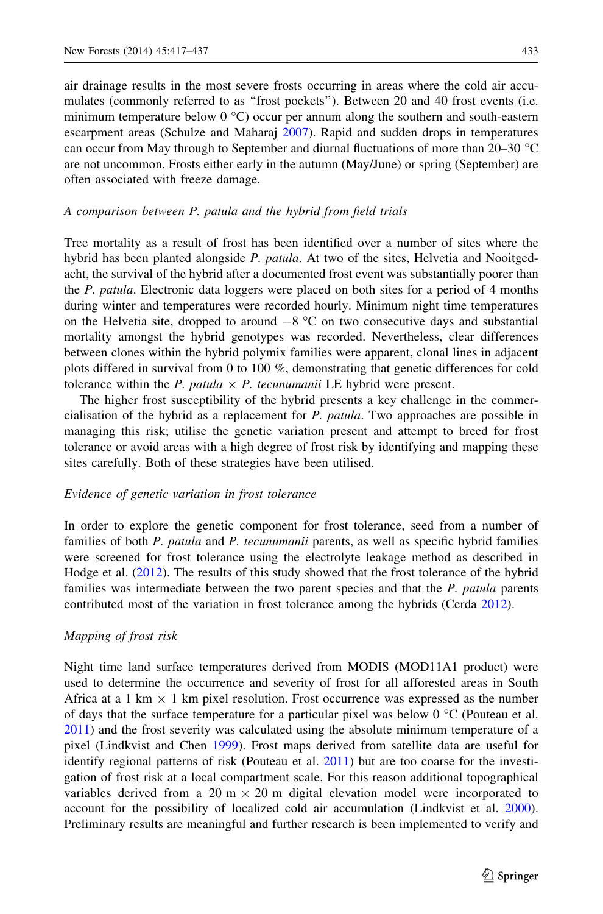air drainage results in the most severe frosts occurring in areas where the cold air accumulates (commonly referred to as "frost pockets"). Between 20 and 40 frost events (i.e. minimum temperature below  $0^{\circ}C$ ) occur per annum along the southern and south-eastern escarpment areas (Schulze and Maharaj [2007\)](#page-20-0). Rapid and sudden drops in temperatures can occur from May through to September and diurnal fluctuations of more than  $20-30$  °C are not uncommon. Frosts either early in the autumn (May/June) or spring (September) are often associated with freeze damage.

#### A comparison between P. patula and the hybrid from field trials

Tree mortality as a result of frost has been identified over a number of sites where the hybrid has been planted alongside P. patula. At two of the sites, Helvetia and Nooitgedacht, the survival of the hybrid after a documented frost event was substantially poorer than the *P. patula*. Electronic data loggers were placed on both sites for a period of 4 months during winter and temperatures were recorded hourly. Minimum night time temperatures on the Helvetia site, dropped to around  $-8$  °C on two consecutive days and substantial mortality amongst the hybrid genotypes was recorded. Nevertheless, clear differences between clones within the hybrid polymix families were apparent, clonal lines in adjacent plots differed in survival from 0 to 100 %, demonstrating that genetic differences for cold tolerance within the *P. patula*  $\times$  *P. tecunumanii* LE hybrid were present.

The higher frost susceptibility of the hybrid presents a key challenge in the commercialisation of the hybrid as a replacement for P. patula. Two approaches are possible in managing this risk; utilise the genetic variation present and attempt to breed for frost tolerance or avoid areas with a high degree of frost risk by identifying and mapping these sites carefully. Both of these strategies have been utilised.

#### Evidence of genetic variation in frost tolerance

In order to explore the genetic component for frost tolerance, seed from a number of families of both P. patula and P. tecunumanii parents, as well as specific hybrid families were screened for frost tolerance using the electrolyte leakage method as described in Hodge et al. ([2012](#page-19-0)). The results of this study showed that the frost tolerance of the hybrid families was intermediate between the two parent species and that the P. patula parents contributed most of the variation in frost tolerance among the hybrids (Cerda [2012\)](#page-18-0).

#### Mapping of frost risk

Night time land surface temperatures derived from MODIS (MOD11A1 product) were used to determine the occurrence and severity of frost for all afforested areas in South Africa at a 1 km  $\times$  1 km pixel resolution. Frost occurrence was expressed as the number of days that the surface temperature for a particular pixel was below 0  $\degree$ C (Pouteau et al. [2011\)](#page-20-0) and the frost severity was calculated using the absolute minimum temperature of a pixel (Lindkvist and Chen [1999\)](#page-19-0). Frost maps derived from satellite data are useful for identify regional patterns of risk (Pouteau et al. [2011\)](#page-20-0) but are too coarse for the investigation of frost risk at a local compartment scale. For this reason additional topographical variables derived from a 20 m  $\times$  20 m digital elevation model were incorporated to account for the possibility of localized cold air accumulation (Lindkvist et al. [2000](#page-19-0)). Preliminary results are meaningful and further research is been implemented to verify and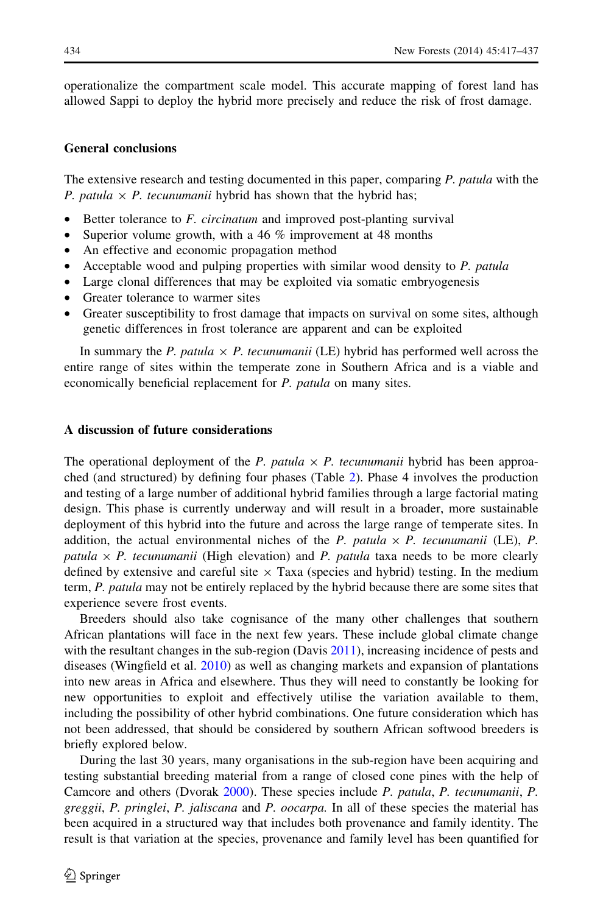operationalize the compartment scale model. This accurate mapping of forest land has allowed Sappi to deploy the hybrid more precisely and reduce the risk of frost damage.

#### General conclusions

The extensive research and testing documented in this paper, comparing P. patula with the P. patula  $\times$  P. tecunumanii hybrid has shown that the hybrid has;

- Better tolerance to *F. circinatum* and improved post-planting survival
- Superior volume growth, with a 46  $\%$  improvement at 48 months
- An effective and economic propagation method
- Acceptable wood and pulping properties with similar wood density to P. patula
- Large clonal differences that may be exploited via somatic embryogenesis
- Greater tolerance to warmer sites
- Greater susceptibility to frost damage that impacts on survival on some sites, although genetic differences in frost tolerance are apparent and can be exploited

In summary the P. patula  $\times$  P. tecunumanii (LE) hybrid has performed well across the entire range of sites within the temperate zone in Southern Africa and is a viable and economically beneficial replacement for P. patula on many sites.

#### A discussion of future considerations

The operational deployment of the P. patula  $\times$  P. tecunumanii hybrid has been approached (and structured) by defining four phases (Table [2](#page-3-0)). Phase 4 involves the production and testing of a large number of additional hybrid families through a large factorial mating design. This phase is currently underway and will result in a broader, more sustainable deployment of this hybrid into the future and across the large range of temperate sites. In addition, the actual environmental niches of the P. patula  $\times$  P. tecunumanii (LE), P. patula  $\times$  P. tecunumanii (High elevation) and P. patula taxa needs to be more clearly defined by extensive and careful site  $\times$  Taxa (species and hybrid) testing. In the medium term, P. patula may not be entirely replaced by the hybrid because there are some sites that experience severe frost events.

Breeders should also take cognisance of the many other challenges that southern African plantations will face in the next few years. These include global climate change with the resultant changes in the sub-region (Davis [2011\)](#page-18-0), increasing incidence of pests and diseases (Wingfield et al. [2010](#page-20-0)) as well as changing markets and expansion of plantations into new areas in Africa and elsewhere. Thus they will need to constantly be looking for new opportunities to exploit and effectively utilise the variation available to them, including the possibility of other hybrid combinations. One future consideration which has not been addressed, that should be considered by southern African softwood breeders is briefly explored below.

During the last 30 years, many organisations in the sub-region have been acquiring and testing substantial breeding material from a range of closed cone pines with the help of Camcore and others (Dvorak [2000\)](#page-18-0). These species include P. patula, P. tecunumanii, P. greggii, P. pringlei, P. jaliscana and P. oocarpa. In all of these species the material has been acquired in a structured way that includes both provenance and family identity. The result is that variation at the species, provenance and family level has been quantified for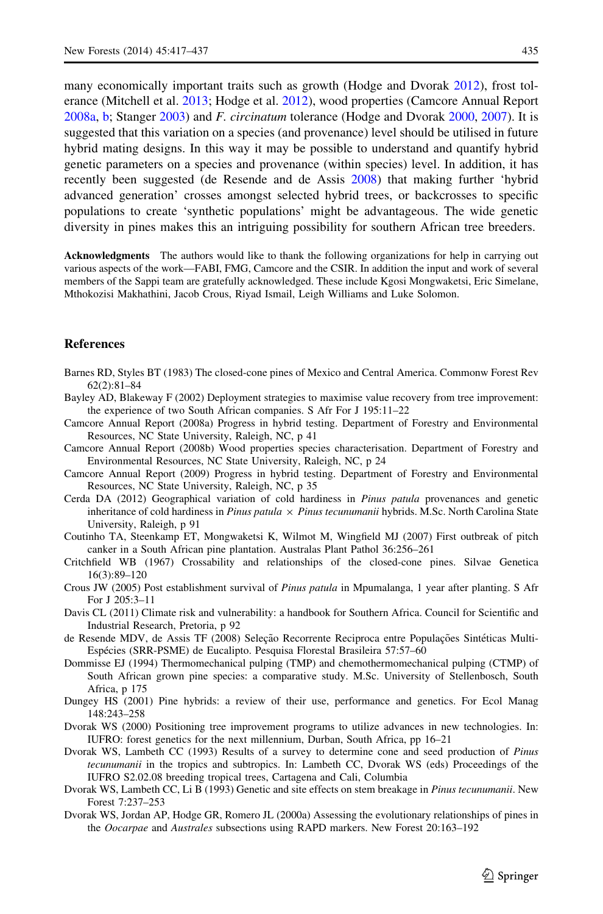<span id="page-18-0"></span>many economically important traits such as growth (Hodge and Dvorak [2012\)](#page-19-0), frost tolerance (Mitchell et al. [2013;](#page-19-0) Hodge et al. [2012\)](#page-19-0), wood properties (Camcore Annual Report 2008a, b; Stanger [2003](#page-20-0)) and F. circinatum tolerance (Hodge and Dvorak [2000,](#page-19-0) [2007\)](#page-19-0). It is suggested that this variation on a species (and provenance) level should be utilised in future hybrid mating designs. In this way it may be possible to understand and quantify hybrid genetic parameters on a species and provenance (within species) level. In addition, it has

recently been suggested (de Resende and de Assis 2008) that making further 'hybrid advanced generation' crosses amongst selected hybrid trees, or backcrosses to specific populations to create 'synthetic populations' might be advantageous. The wide genetic diversity in pines makes this an intriguing possibility for southern African tree breeders.

Acknowledgments The authors would like to thank the following organizations for help in carrying out various aspects of the work—FABI, FMG, Camcore and the CSIR. In addition the input and work of several members of the Sappi team are gratefully acknowledged. These include Kgosi Mongwaketsi, Eric Simelane, Mthokozisi Makhathini, Jacob Crous, Riyad Ismail, Leigh Williams and Luke Solomon.

# **References**

- Barnes RD, Styles BT (1983) The closed-cone pines of Mexico and Central America. Commonw Forest Rev 62(2):81–84
- Bayley AD, Blakeway F (2002) Deployment strategies to maximise value recovery from tree improvement: the experience of two South African companies. S Afr For J 195:11–22
- Camcore Annual Report (2008a) Progress in hybrid testing. Department of Forestry and Environmental Resources, NC State University, Raleigh, NC, p 41
- Camcore Annual Report (2008b) Wood properties species characterisation. Department of Forestry and Environmental Resources, NC State University, Raleigh, NC, p 24
- Camcore Annual Report (2009) Progress in hybrid testing. Department of Forestry and Environmental Resources, NC State University, Raleigh, NC, p 35
- Cerda DA (2012) Geographical variation of cold hardiness in Pinus patula provenances and genetic inheritance of cold hardiness in *Pinus patula*  $\times$  *Pinus tecunumanii* hybrids. M.Sc. North Carolina State University, Raleigh, p 91
- Coutinho TA, Steenkamp ET, Mongwaketsi K, Wilmot M, Wingfield MJ (2007) First outbreak of pitch canker in a South African pine plantation. Australas Plant Pathol 36:256–261
- Critchfield WB (1967) Crossability and relationships of the closed-cone pines. Silvae Genetica 16(3):89–120
- Crous JW (2005) Post establishment survival of Pinus patula in Mpumalanga, 1 year after planting. S Afr For J 205:3–11
- Davis CL (2011) Climate risk and vulnerability: a handbook for Southern Africa. Council for Scientific and Industrial Research, Pretoria, p 92
- de Resende MDV, de Assis TF (2008) Seleção Recorrente Reciproca entre Populações Sintéticas Multi-Espécies (SRR-PSME) de Eucalipto. Pesquisa Florestal Brasileira 57:57–60
- Dommisse EJ (1994) Thermomechanical pulping (TMP) and chemothermomechanical pulping (CTMP) of South African grown pine species: a comparative study. M.Sc. University of Stellenbosch, South Africa, p 175
- Dungey HS (2001) Pine hybrids: a review of their use, performance and genetics. For Ecol Manag 148:243–258
- Dvorak WS (2000) Positioning tree improvement programs to utilize advances in new technologies. In: IUFRO: forest genetics for the next millennium, Durban, South Africa, pp 16–21
- Dvorak WS, Lambeth CC (1993) Results of a survey to determine cone and seed production of Pinus tecunumanii in the tropics and subtropics. In: Lambeth CC, Dvorak WS (eds) Proceedings of the IUFRO S2.02.08 breeding tropical trees, Cartagena and Cali, Columbia
- Dvorak WS, Lambeth CC, Li B (1993) Genetic and site effects on stem breakage in Pinus tecunumanii. New Forest 7:237–253
- Dvorak WS, Jordan AP, Hodge GR, Romero JL (2000a) Assessing the evolutionary relationships of pines in the Oocarpae and Australes subsections using RAPD markers. New Forest 20:163–192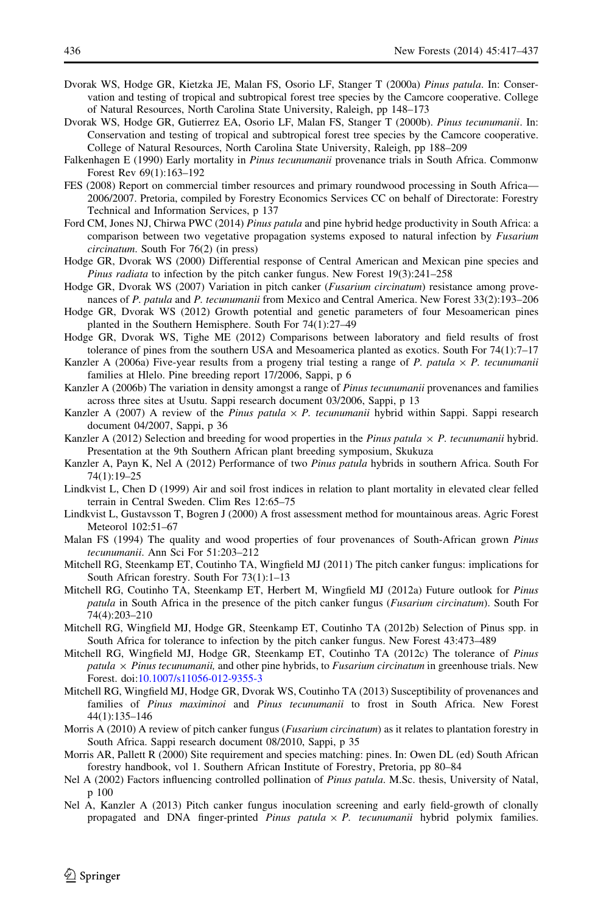- <span id="page-19-0"></span>Dvorak WS, Hodge GR, Kietzka JE, Malan FS, Osorio LF, Stanger T (2000a) Pinus patula. In: Conservation and testing of tropical and subtropical forest tree species by the Camcore cooperative. College of Natural Resources, North Carolina State University, Raleigh, pp 148–173
- Dvorak WS, Hodge GR, Gutierrez EA, Osorio LF, Malan FS, Stanger T (2000b). Pinus tecunumanii. In: Conservation and testing of tropical and subtropical forest tree species by the Camcore cooperative. College of Natural Resources, North Carolina State University, Raleigh, pp 188–209
- Falkenhagen E (1990) Early mortality in *Pinus tecunumanii* provenance trials in South Africa. Commonw Forest Rev 69(1):163–192
- FES (2008) Report on commercial timber resources and primary roundwood processing in South Africa— 2006/2007. Pretoria, compiled by Forestry Economics Services CC on behalf of Directorate: Forestry Technical and Information Services, p 137
- Ford CM, Jones NJ, Chirwa PWC (2014) *Pinus patula* and pine hybrid hedge productivity in South Africa: a comparison between two vegetative propagation systems exposed to natural infection by *Fusarium* circinatum. South For 76(2) (in press)
- Hodge GR, Dvorak WS (2000) Differential response of Central American and Mexican pine species and Pinus radiata to infection by the pitch canker fungus. New Forest 19(3):241–258
- Hodge GR, Dvorak WS (2007) Variation in pitch canker (Fusarium circinatum) resistance among provenances of P. patula and P. tecunumanii from Mexico and Central America. New Forest 33(2):193-206
- Hodge GR, Dvorak WS (2012) Growth potential and genetic parameters of four Mesoamerican pines planted in the Southern Hemisphere. South For 74(1):27–49
- Hodge GR, Dvorak WS, Tighe ME (2012) Comparisons between laboratory and field results of frost tolerance of pines from the southern USA and Mesoamerica planted as exotics. South For 74(1):7–17
- Kanzler A (2006a) Five-year results from a progeny trial testing a range of P. patula  $\times$  P. tecunumanii families at Hlelo. Pine breeding report 17/2006, Sappi, p 6
- Kanzler A (2006b) The variation in density amongst a range of Pinus tecunumanii provenances and families across three sites at Usutu. Sappi research document 03/2006, Sappi, p 13
- Kanzler A (2007) A review of the Pinus patula  $\times$  P. tecunumanii hybrid within Sappi. Sappi research document 04/2007, Sappi, p 36
- Kanzler A (2012) Selection and breeding for wood properties in the *Pinus patula*  $\times$  *P. tecunumanii* hybrid. Presentation at the 9th Southern African plant breeding symposium, Skukuza
- Kanzler A, Payn K, Nel A (2012) Performance of two Pinus patula hybrids in southern Africa. South For 74(1):19–25
- Lindkvist L, Chen D (1999) Air and soil frost indices in relation to plant mortality in elevated clear felled terrain in Central Sweden. Clim Res 12:65–75
- Lindkvist L, Gustavsson T, Bogren J (2000) A frost assessment method for mountainous areas. Agric Forest Meteorol 102:51–67
- Malan FS (1994) The quality and wood properties of four provenances of South-African grown *Pinus* tecunumanii. Ann Sci For 51:203–212
- Mitchell RG, Steenkamp ET, Coutinho TA, Wingfield MJ (2011) The pitch canker fungus: implications for South African forestry. South For 73(1):1–13
- Mitchell RG, Coutinho TA, Steenkamp ET, Herbert M, Wingfield MJ (2012a) Future outlook for Pinus patula in South Africa in the presence of the pitch canker fungus (Fusarium circinatum). South For 74(4):203–210
- Mitchell RG, Wingfield MJ, Hodge GR, Steenkamp ET, Coutinho TA (2012b) Selection of Pinus spp. in South Africa for tolerance to infection by the pitch canker fungus. New Forest 43:473–489
- Mitchell RG, Wingfield MJ, Hodge GR, Steenkamp ET, Coutinho TA (2012c) The tolerance of Pinus patula  $\times$  Pinus tecunumanii, and other pine hybrids, to *Fusarium circinatum* in greenhouse trials. New Forest. doi:[10.1007/s11056-012-9355-3](http://dx.doi.org/10.1007/s11056-012-9355-3)
- Mitchell RG, Wingfield MJ, Hodge GR, Dvorak WS, Coutinho TA (2013) Susceptibility of provenances and families of Pinus maximinoi and Pinus tecunumanii to frost in South Africa. New Forest 44(1):135–146
- Morris A (2010) A review of pitch canker fungus (*Fusarium circinatum*) as it relates to plantation forestry in South Africa. Sappi research document 08/2010, Sappi, p 35
- Morris AR, Pallett R (2000) Site requirement and species matching: pines. In: Owen DL (ed) South African forestry handbook, vol 1. Southern African Institute of Forestry, Pretoria, pp 80–84
- Nel A (2002) Factors influencing controlled pollination of Pinus patula. M.Sc. thesis, University of Natal, p 100
- Nel A, Kanzler A (2013) Pitch canker fungus inoculation screening and early field-growth of clonally propagated and DNA finger-printed Pinus patula  $\times$  P. tecunumanii hybrid polymix families.